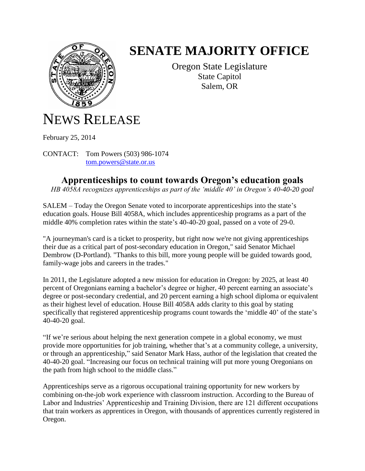

## **SENATE MAJORITY OFFICE**

Oregon State Legislature State Capitol Salem, OR

## NEWS RELEASE

February 25, 2014

CONTACT: Tom Powers (503) 986-1074 [tom.powers@state.or.us](mailto:tom.powers@state.or.us)

## **Apprenticeships to count towards Oregon's education goals**

*HB 4058A recognizes apprenticeships as part of the 'middle 40' in Oregon's 40-40-20 goal*

SALEM – Today the Oregon Senate voted to incorporate apprenticeships into the state's education goals. House Bill 4058A, which includes apprenticeship programs as a part of the middle 40% completion rates within the state's 40-40-20 goal, passed on a vote of 29-0.

"A journeyman's card is a ticket to prosperity, but right now we're not giving apprenticeships their due as a critical part of post-secondary education in Oregon," said Senator Michael Dembrow (D-Portland). "Thanks to this bill, more young people will be guided towards good, family-wage jobs and careers in the trades."

In 2011, the Legislature adopted a new mission for education in Oregon: by 2025, at least 40 percent of Oregonians earning a bachelor's degree or higher, 40 percent earning an associate's degree or post-secondary credential, and 20 percent earning a high school diploma or equivalent as their highest level of education. House Bill 4058A adds clarity to this goal by stating specifically that registered apprenticeship programs count towards the 'middle 40' of the state's 40-40-20 goal.

"If we're serious about helping the next generation compete in a global economy, we must provide more opportunities for job training, whether that's at a community college, a university, or through an apprenticeship," said Senator Mark Hass, author of the legislation that created the 40-40-20 goal. "Increasing our focus on technical training will put more young Oregonians on the path from high school to the middle class."

Apprenticeships serve as a rigorous occupational training opportunity for new workers by combining on-the-job work experience with classroom instruction. According to the Bureau of Labor and Industries' Apprenticeship and Training Division, there are 121 different occupations that train workers as apprentices in Oregon, with thousands of apprentices currently registered in Oregon.